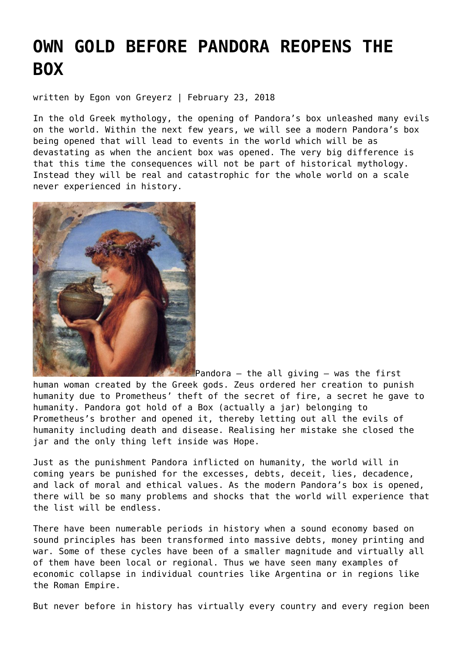# **[OWN GOLD BEFORE PANDORA REOPENS THE](https://goldswitzerland.com/own-gold-before-pandora-reopens-the-box/) [BOX](https://goldswitzerland.com/own-gold-before-pandora-reopens-the-box/)**

written by Egon von Greyerz | February 23, 2018

In the old Greek mythology, the opening of Pandora's box unleashed many evils on the world. Within the next few years, we will see a modern Pandora's box being opened that will lead to events in the world which will be as devastating as when the ancient box was opened. The very big difference is that this time the consequences will not be part of historical mythology. Instead they will be real and catastrophic for the whole world on a scale never experienced in history.



Pandora – the all giving – was the first human woman created by the Greek gods. Zeus ordered her creation to punish humanity due to Prometheus' theft of the secret of fire, a secret he gave to humanity. Pandora got hold of a Box (actually a jar) belonging to Prometheus's brother and opened it, thereby letting out all the evils of humanity including death and disease. Realising her mistake she closed the jar and the only thing left inside was Hope.

Just as the punishment Pandora inflicted on humanity, the world will in coming years be punished for the excesses, debts, deceit, lies, decadence, and lack of moral and ethical values. As the modern Pandora's box is opened, there will be so many problems and shocks that the world will experience that the list will be endless.

There have been numerable periods in history when a sound economy based on sound principles has been transformed into massive debts, money printing and war. Some of these cycles have been of a smaller magnitude and virtually all of them have been local or regional. Thus we have seen many examples of economic collapse in individual countries like Argentina or in regions like the Roman Empire.

But never before in history has virtually every country and every region been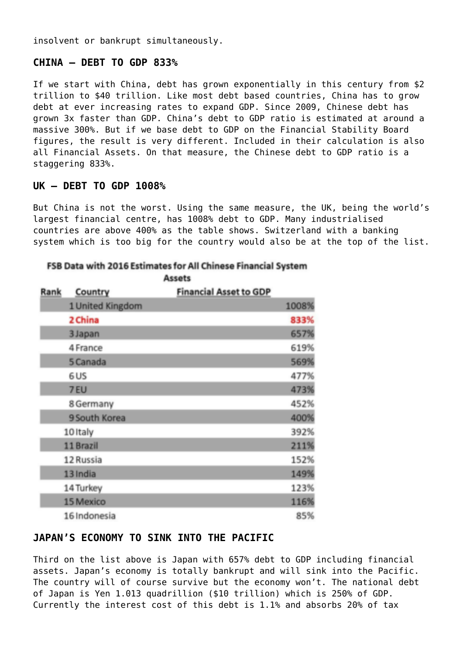insolvent or bankrupt simultaneously.

## **CHINA – DEBT TO GDP 833%**

If we start with China, debt has grown exponentially in this century from \$2 trillion to \$40 trillion. Like most debt based countries, China has to grow debt at ever increasing rates to expand GDP. Since 2009, Chinese debt has grown 3x faster than GDP. China's debt to GDP ratio is estimated at around a massive 300%. But if we base debt to GDP on the Financial Stability Board figures, the result is very different. Included in their calculation is also all Financial Assets. On that measure, the Chinese debt to GDP ratio is a staggering 833%.

## **UK – DEBT TO GDP 1008%**

But China is not the worst. Using the same measure, the UK, being the world's largest financial centre, has 1008% debt to GDP. Many industrialised countries are above 400% as the table shows. Switzerland with a banking system which is too big for the country would also be at the top of the list.

| Rank | Country          | <b>Financial Asset to GDP</b> |       |
|------|------------------|-------------------------------|-------|
|      | 1 United Kingdom |                               | 1008% |
|      | 2 China          |                               | 833%  |
|      | 3 Japan          |                               | 657%  |
|      | 4 France         |                               | 619%  |
|      | 5 Canada         |                               | 569%  |
|      | 6 US             |                               | 477%  |
|      | 7 EU             |                               | 473%  |
|      | 8 Germany        |                               | 452%  |
|      | 9 South Korea    |                               | 400%  |
|      | 10 Italy         |                               | 392%  |
|      | 11 Brazil        |                               | 211%  |
|      | 12 Russia        |                               | 152%  |
|      | 13 India         |                               | 149%  |
|      | 14 Turkey        |                               | 123%  |
|      | 15 Mexico        |                               | 116%  |
|      | 16 Indonesia     |                               | 85%   |

#### FSB Data with 2016 Estimates for All Chinese Financial System Accate

# **JAPAN'S ECONOMY TO SINK INTO THE PACIFIC**

Third on the list above is Japan with 657% debt to GDP including financial assets. Japan's economy is totally bankrupt and will sink into the Pacific. The country will of course survive but the economy won't. The national debt of Japan is Yen 1.013 quadrillion (\$10 trillion) which is 250% of GDP. Currently the interest cost of this debt is 1.1% and absorbs 20% of tax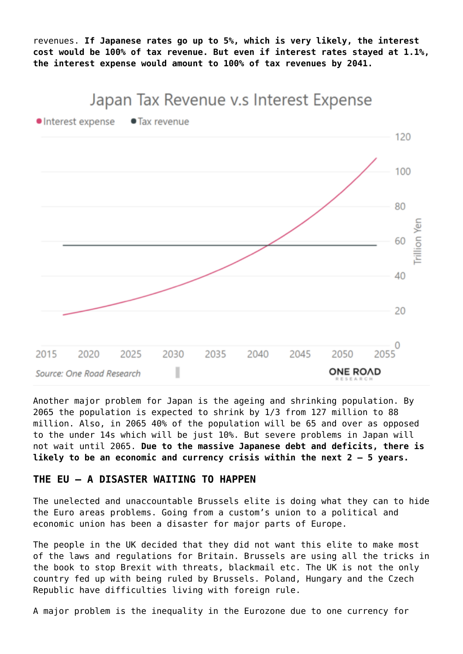revenues. **If Japanese rates go up to 5%, which is very likely, the interest cost would be 100% of tax revenue. But even if interest rates stayed at 1.1%, the interest expense would amount to 100% of tax revenues by 2041.**

# Japan Tax Revenue v.s Interest Expense



Another major problem for Japan is the ageing and shrinking population. By 2065 the population is expected to shrink by 1/3 from 127 million to 88 million. Also, in 2065 40% of the population will be 65 and over as opposed to the under 14s which will be just 10%. But severe problems in Japan will not wait until 2065. **Due to the massive Japanese debt and deficits, there is likely to be an economic and currency crisis within the next 2 – 5 years.**

#### **THE EU – A DISASTER WAITING TO HAPPEN**

The unelected and unaccountable Brussels elite is doing what they can to hide the Euro areas problems. Going from a custom's union to a political and economic union has been a disaster for major parts of Europe.

The people in the UK decided that they did not want this elite to make most of the laws and regulations for Britain. Brussels are using all the tricks in the book to stop Brexit with threats, blackmail etc. The UK is not the only country fed up with being ruled by Brussels. Poland, Hungary and the Czech Republic have difficulties living with foreign rule.

A major problem is the inequality in the Eurozone due to one currency for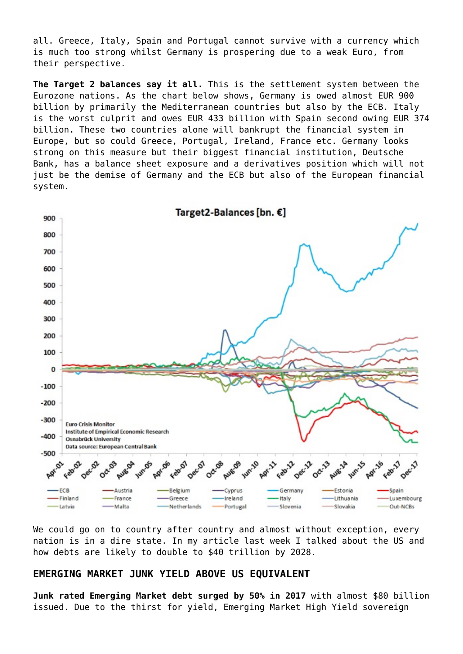all. Greece, Italy, Spain and Portugal cannot survive with a currency which is much too strong whilst Germany is prospering due to a weak Euro, from their perspective.

**The Target 2 balances say it all.** This is the settlement system between the Eurozone nations. As the chart below shows, Germany is owed almost EUR 900 billion by primarily the Mediterranean countries but also by the ECB. Italy is the worst culprit and owes EUR 433 billion with Spain second owing EUR 374 billion. These two countries alone will bankrupt the financial system in Europe, but so could Greece, Portugal, Ireland, France etc. Germany looks strong on this measure but their biggest financial institution, Deutsche Bank, has a balance sheet exposure and a derivatives position which will not just be the demise of Germany and the ECB but also of the European financial system.



We could go on to country after country and almost without exception, every nation is in a dire state. In my [article last week](https://goldswitzerland.com/the-2007-9-crisis-will-return-in-2018-with-a-vengeance/) I talked about the US and how debts are likely to double to \$40 trillion by 2028.

#### **EMERGING MARKET JUNK YIELD ABOVE US EQUIVALENT**

**Junk rated Emerging Market debt surged by 50% in 2017** with almost \$80 billion issued. Due to the thirst for yield, Emerging Market High Yield sovereign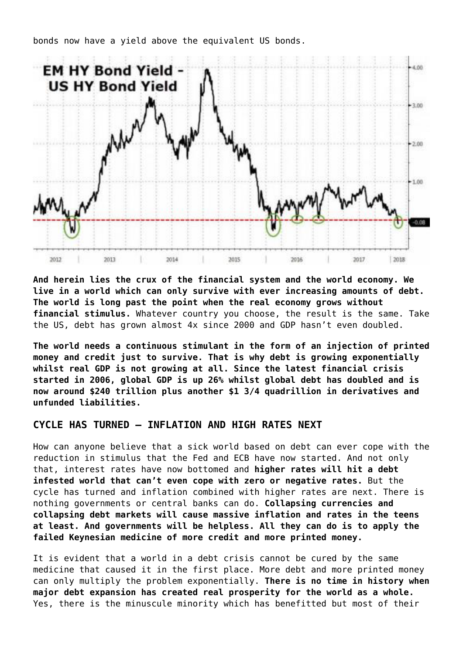

bonds now have a yield above the equivalent US bonds.

**And herein lies the crux of the financial system and the world economy. We live in a world which can only survive with ever increasing amounts of debt. The world is long past the point when the real economy grows without financial stimulus.** Whatever country you choose, the result is the same. Take the US, debt has grown almost 4x since 2000 and GDP hasn't even doubled.

**The world needs a continuous stimulant in the form of an injection of printed money and credit just to survive. That is why debt is growing exponentially whilst real GDP is not growing at all. Since the latest financial crisis started in 2006, global GDP is up 26% whilst global debt has doubled and is now around \$240 trillion plus another \$1 3/4 quadrillion in derivatives and unfunded liabilities.**

## **CYCLE HAS TURNED – INFLATION AND HIGH RATES NEXT**

How can anyone believe that a sick world based on debt can ever cope with the reduction in stimulus that the Fed and ECB have now started. And not only that, interest rates have now bottomed and **higher rates will hit a debt infested world that can't even cope with zero or negative rates.** But the cycle has turned and inflation combined with higher rates are next. There is nothing governments or central banks can do. **Collapsing currencies and collapsing debt markets will cause massive inflation and rates in the teens at least. And governments will be helpless. All they can do is to apply the failed Keynesian medicine of more credit and more printed money.**

It is evident that a world in a debt crisis cannot be cured by the same medicine that caused it in the first place. More debt and more printed money can only multiply the problem exponentially. **There is no time in history when major debt expansion has created real prosperity for the world as a whole.** Yes, there is the minuscule minority which has benefitted but most of their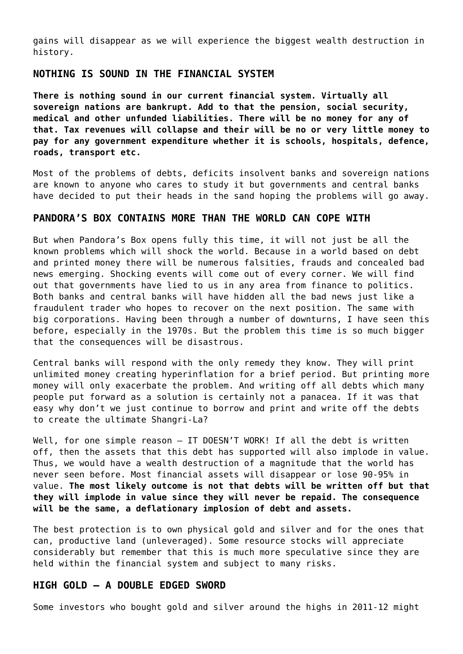gains will disappear as we will experience the biggest wealth destruction in history.

# **NOTHING IS SOUND IN THE FINANCIAL SYSTEM**

**There is nothing sound in our current financial system. Virtually all sovereign nations are bankrupt. Add to that the pension, social security, medical and other unfunded liabilities. There will be no money for any of that. Tax revenues will collapse and their will be no or very little money to pay for any government expenditure whether it is schools, hospitals, defence, roads, transport etc.**

Most of the problems of debts, deficits insolvent banks and sovereign nations are known to anyone who cares to study it but governments and central banks have decided to put their heads in the sand hoping the problems will go away.

#### **PANDORA'S BOX CONTAINS MORE THAN THE WORLD CAN COPE WITH**

But when Pandora's Box opens fully this time, it will not just be all the known problems which will shock the world. Because in a world based on debt and printed money there will be numerous falsities, frauds and concealed bad news emerging. Shocking events will come out of every corner. We will find out that governments have lied to us in any area from finance to politics. Both banks and central banks will have hidden all the bad news just like a fraudulent trader who hopes to recover on the next position. The same with big corporations. Having been through a number of downturns, I have seen this before, especially in the 1970s. But the problem this time is so much bigger that the consequences will be disastrous.

Central banks will respond with the only remedy they know. They will print unlimited money creating hyperinflation for a brief period. But printing more money will only exacerbate the problem. And writing off all debts which many people put forward as a solution is certainly not a panacea. If it was that easy why don't we just continue to borrow and print and write off the debts to create the ultimate Shangri-La?

Well, for one simple reason - IT DOESN'T WORK! If all the debt is written off, then the assets that this debt has supported will also implode in value. Thus, we would have a wealth destruction of a magnitude that the world has never seen before. Most financial assets will disappear or lose 90-95% in value. **The most likely outcome is not that debts will be written off but that they will implode in value since they will never be repaid. The consequence will be the same, a deflationary implosion of debt and assets.**

The best protection is to own physical gold and silver and for the ones that can, productive land (unleveraged). Some resource stocks will appreciate considerably but remember that this is much more speculative since they are held within the financial system and subject to many risks.

#### **HIGH GOLD – A DOUBLE EDGED SWORD**

Some investors who bought gold and silver around the highs in 2011-12 might